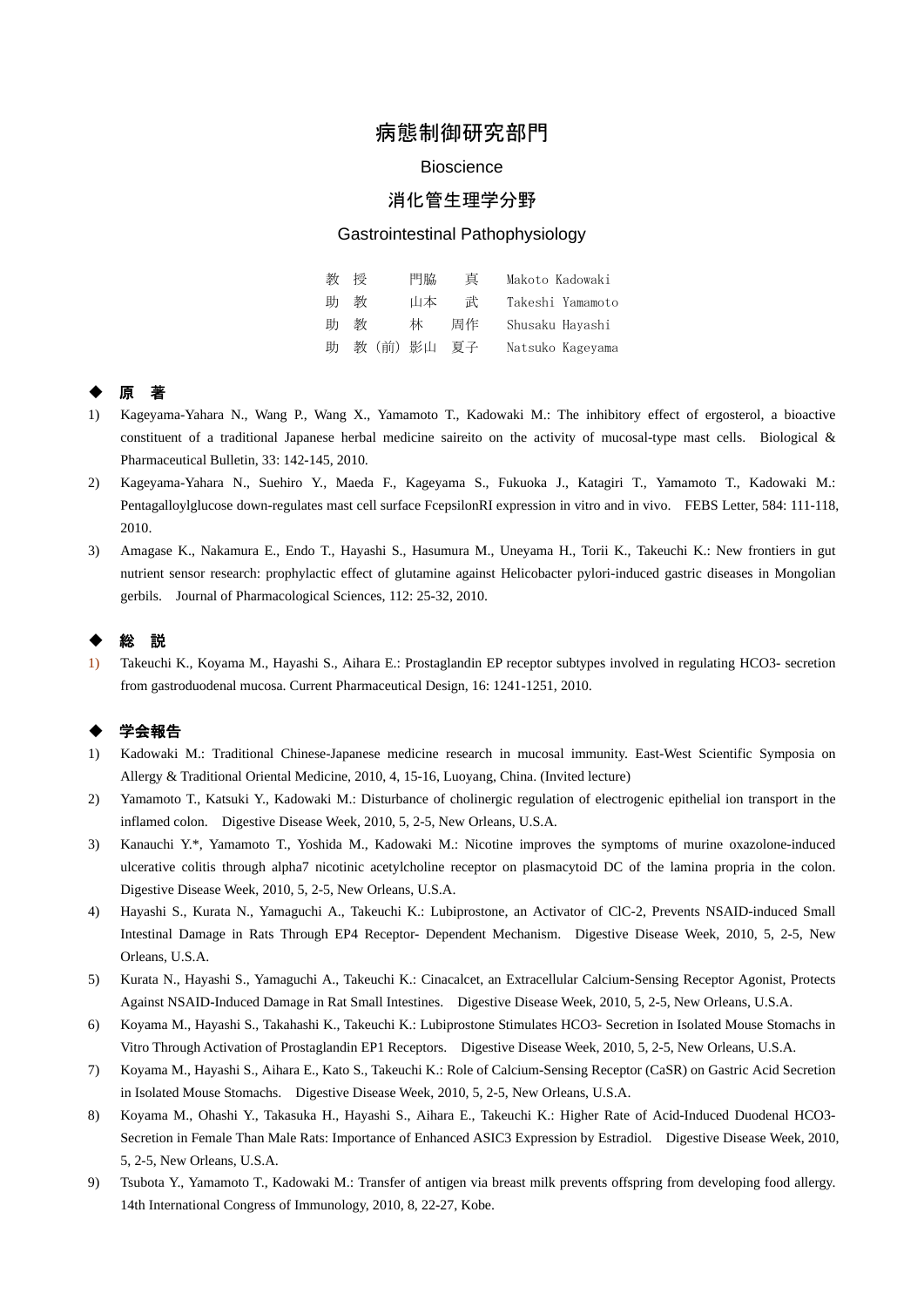# 病態制御研究部門

#### **Bioscience**

## 消化管生理学分野

#### Gastrointestinal Pathophysiology

| 教 | 授 | 門脇     | 真  | Makoto Kadowaki  |
|---|---|--------|----|------------------|
| 助 | 教 | 山本     | 武  | Takeshi Yamamoto |
| 助 | 教 | 夶      | 周作 | Shusaku Havashi  |
| 助 |   | 教(前)影山 | 夏子 | Natsuko Kagevama |

### ◆ 原 著

- 1) Kageyama-Yahara N., Wang P., Wang X., Yamamoto T., Kadowaki M.: The inhibitory effect of ergosterol, a bioactive constituent of a traditional Japanese herbal medicine saireito on the activity of mucosal-type mast cells. Biological & Pharmaceutical Bulletin, 33: 142-145, 2010.
- 2) Kageyama-Yahara N., Suehiro Y., Maeda F., Kageyama S., Fukuoka J., Katagiri T., Yamamoto T., Kadowaki M.: Pentagalloylglucose down-regulates mast cell surface FcepsilonRI expression in vitro and in vivo. FEBS Letter, 584: 111-118, 2010.
- 3) Amagase K., Nakamura E., Endo T., Hayashi S., Hasumura M., Uneyama H., Torii K., Takeuchi K.: New frontiers in gut nutrient sensor research: prophylactic effect of glutamine against Helicobacter pylori-induced gastric diseases in Mongolian gerbils. Journal of Pharmacological Sciences, 112: 25-32, 2010.

### ◆ 総 説

1) Takeuchi K., Koyama M., Hayashi S., Aihara E.: Prostaglandin EP receptor subtypes involved in regulating HCO3- secretion from gastroduodenal mucosa. Current Pharmaceutical Design, 16: 1241-1251, 2010.

#### 学会報告

- 1) Kadowaki M.: Traditional Chinese-Japanese medicine research in mucosal immunity. East-West Scientific Symposia on Allergy & Traditional Oriental Medicine, 2010, 4, 15-16, Luoyang, China. (Invited lecture)
- 2) Yamamoto T., Katsuki Y., Kadowaki M.: Disturbance of cholinergic regulation of electrogenic epithelial ion transport in the inflamed colon. Digestive Disease Week, 2010, 5, 2-5, New Orleans, U.S.A.
- 3) Kanauchi Y.\*, Yamamoto T., Yoshida M., Kadowaki M.: Nicotine improves the symptoms of murine oxazolone-induced ulcerative colitis through alpha7 nicotinic acetylcholine receptor on plasmacytoid DC of the lamina propria in the colon. Digestive Disease Week, 2010, 5, 2-5, New Orleans, U.S.A.
- 4) Hayashi S., Kurata N., Yamaguchi A., Takeuchi K.: Lubiprostone, an Activator of ClC-2, Prevents NSAID-induced Small Intestinal Damage in Rats Through EP4 Receptor- Dependent Mechanism. Digestive Disease Week, 2010, 5, 2-5, New Orleans, U.S.A.
- 5) Kurata N., Hayashi S., Yamaguchi A., Takeuchi K.: Cinacalcet, an Extracellular Calcium-Sensing Receptor Agonist, Protects Against NSAID-Induced Damage in Rat Small Intestines. Digestive Disease Week, 2010, 5, 2-5, New Orleans, U.S.A.
- 6) Koyama M., Hayashi S., Takahashi K., Takeuchi K.: Lubiprostone Stimulates HCO3- Secretion in Isolated Mouse Stomachs in Vitro Through Activation of Prostaglandin EP1 Receptors. Digestive Disease Week, 2010, 5, 2-5, New Orleans, U.S.A.
- 7) Koyama M., Hayashi S., Aihara E., Kato S., Takeuchi K.: Role of Calcium-Sensing Receptor (CaSR) on Gastric Acid Secretion in Isolated Mouse Stomachs. Digestive Disease Week, 2010, 5, 2-5, New Orleans, U.S.A.
- 8) Koyama M., Ohashi Y., Takasuka H., Hayashi S., Aihara E., Takeuchi K.: Higher Rate of Acid-Induced Duodenal HCO3- Secretion in Female Than Male Rats: Importance of Enhanced ASIC3 Expression by Estradiol. Digestive Disease Week, 2010, 5, 2-5, New Orleans, U.S.A.
- 9) Tsubota Y., Yamamoto T., Kadowaki M.: Transfer of antigen via breast milk prevents offspring from developing food allergy. 14th International Congress of Immunology, 2010, 8, 22-27, Kobe.